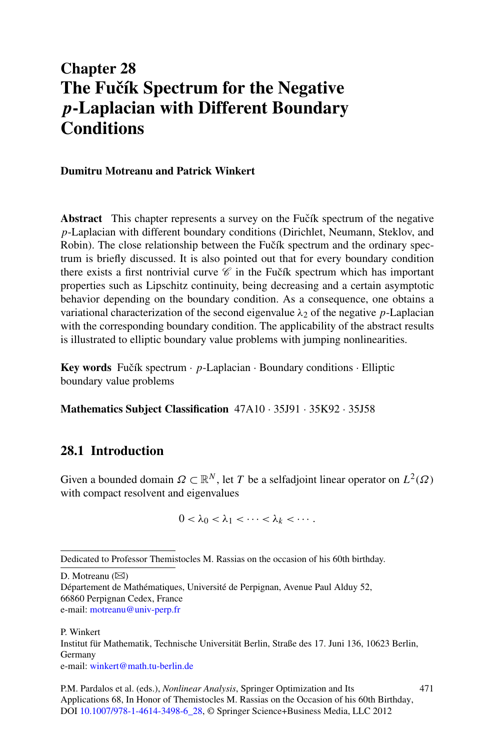# **Chapter 28 The Fučík Spectrum for the Negative** *p***-Laplacian with Different Boundary Conditions**

#### **Dumitru Motreanu and Patrick Winkert**

**Abstract** This chapter represents a survey on the Fučík spectrum of the negative *p*-Laplacian with different boundary conditions (Dirichlet, Neumann, Steklov, and Robin). The close relationship between the Fučík spectrum and the ordinary spectrum is briefly discussed. It is also pointed out that for every boundary condition there exists a first nontrivial curve  $\mathscr C$  in the Fučík spectrum which has important properties such as Lipschitz continuity, being decreasing and a certain asymptotic behavior depending on the boundary condition. As a consequence, one obtains a variational characterization of the second eigenvalue  $\lambda_2$  of the negative *p*-Laplacian with the corresponding boundary condition. The applicability of the abstract results is illustrated to elliptic boundary value problems with jumping nonlinearities.

**Key words** Fučík spectrum  $\cdot$  *p*-Laplacian  $\cdot$  Boundary conditions  $\cdot$  Elliptic boundary value problems

**Mathematics Subject Classification** 47A10 · 35J91 · 35K92 · 35J58

# **28.1 Introduction**

Given a bounded domain  $\Omega \subset \mathbb{R}^N$ , let *T* be a selfadjoint linear operator on  $L^2(\Omega)$ with compact resolvent and eigenvalues

 $0 < \lambda_0 < \lambda_1 < \cdots < \lambda_k < \cdots$ 

D. Motreanu  $(\boxtimes)$ 

P. Winkert Institut für Mathematik, Technische Universität Berlin, Straße des 17. Juni 136, 10623 Berlin, Germany e-mail: [winkert@math.tu-berlin.de](mailto:winkert@math.tu-berlin.de)

Dedicated to Professor Themistocles M. Rassias on the occasion of his 60th birthday.

Département de Mathématiques, Université de Perpignan, Avenue Paul Alduy 52, 66860 Perpignan Cedex, France e-mail: [motreanu@univ-perp.fr](mailto:motreanu@univ-perp.fr)

P.M. Pardalos et al. (eds.), *Nonlinear Analysis*, Springer Optimization and Its Applications 68, In Honor of Themistocles M. Rassias on the Occasion of his 60th Birthday, DOI [10.1007/978-1-4614-3498-6\\_28,](http://dx.doi.org/10.1007/978-1-4614-3498-6_28) © Springer Science+Business Media, LLC 2012 471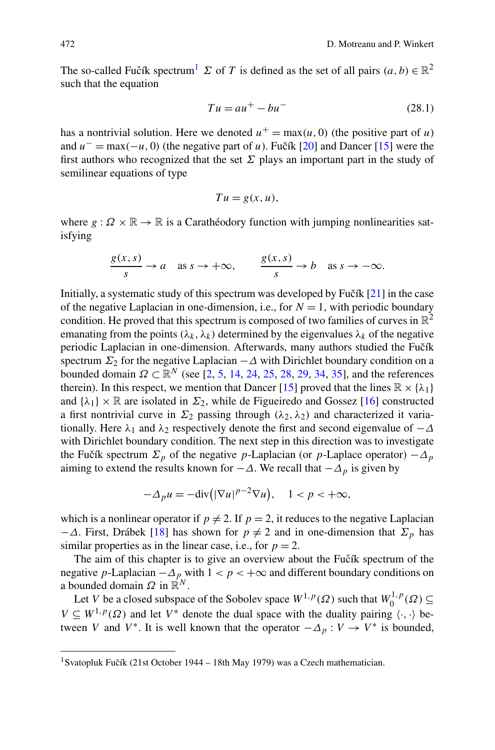The so-called Fučík spectrum<sup>[1](#page-1-0)</sup>  $\Sigma$  of *T* is defined as the set of all pairs  $(a, b) \in \mathbb{R}^2$ such that the equation

$$
Tu = au^+ - bu^- \tag{28.1}
$$

has a nontrivial solution. Here we denoted  $u^+ = \max(u, 0)$  (the positive part of *u*) and  $u^-$  = max $(-u, 0)$  (the negative part of *u*). Fučík [[20\]](#page-13-0) and Dancer [[15\]](#page-13-1) were the first authors who recognized that the set *Σ* plays an important part in the study of semilinear equations of type

$$
Tu = g(x, u),
$$

where  $g : \Omega \times \mathbb{R} \to \mathbb{R}$  is a Carathéodory function with jumping nonlinearities satisfying

$$
\frac{g(x,s)}{s} \to a \quad \text{as } s \to +\infty, \qquad \frac{g(x,s)}{s} \to b \quad \text{as } s \to -\infty.
$$

Initially, a systematic study of this spectrum was developed by Fučík  $[21]$  $[21]$  in the case of the negative Laplacian in one-dimension, i.e., for  $N = 1$ , with periodic boundary condition. He proved that this spectrum is composed of two families of curves in  $\mathbb{R}^2$ emanating from the points  $(\lambda_k, \lambda_k)$  determined by the eigenvalues  $\lambda_k$  of the negative periodic Laplacian in one-dimension. Afterwards, many authors studied the Fučík spectrum  $\Sigma_2$  for the negative Laplacian  $-\Delta$  with Dirichlet boundary condition on a bounded domain  $Ω ⊂ ℝ<sup>N</sup>$  (see [\[2](#page-13-2), [5,](#page-13-3) [14,](#page-13-4) [24,](#page-14-1) [25,](#page-14-2) [28,](#page-14-3) [29](#page-14-4), [34](#page-14-5), [35](#page-14-6)], and the references therein). In this respect, we mention that Dancer [\[15](#page-13-1)] proved that the lines  $\mathbb{R} \times \{\lambda_1\}$ and  $\{\lambda_1\} \times \mathbb{R}$  are isolated in  $\Sigma_2$ , while de Figueiredo and Gossez [\[16](#page-13-5)] constructed a first nontrivial curve in  $\Sigma_2$  passing through  $(\lambda_2, \lambda_2)$  and characterized it variationally. Here  $\lambda_1$  and  $\lambda_2$  respectively denote the first and second eigenvalue of  $-\Delta$ with Dirichlet boundary condition. The next step in this direction was to investigate the Fučík spectrum  $\Sigma_p$  of the negative *p*-Laplacian (or *p*-Laplace operator)  $-\Delta_p$ aiming to extend the results known for  $-\Delta$ . We recall that  $-\Delta_p$  is given by

$$
-\Delta_p u = -\text{div}\big(|\nabla u|^{p-2}\nabla u\big), \quad 1 < p < +\infty,
$$

which is a nonlinear operator if  $p \neq 2$ . If  $p = 2$ , it reduces to the negative Laplacian  $-Δ$ . First, Drábek [[18\]](#page-13-6) has shown for *p*  $\neq$  2 and in one-dimension that  $\Sigma_p$  has similar properties as in the linear case, i.e., for  $p = 2$ .

<span id="page-1-0"></span>The aim of this chapter is to give an overview about the Fučík spectrum of the negative *p*-Laplacian  $-\Delta_p$  with  $1 < p < +\infty$  and different boundary conditions on a bounded domain  $\Omega$  in  $\mathbb{R}^N$ .

Let *V* be a closed subspace of the Sobolev space  $W^{1,p}(\Omega)$  such that  $W_0^{1,p}(\Omega) \subseteq$  $V \subseteq W^{1,p}(\Omega)$  and let  $V^*$  denote the dual space with the duality pairing  $\langle \cdot, \cdot \rangle$  between *V* and *V*<sup>\*</sup>. It is well known that the operator  $-\Delta_p: V \to V^*$  is bounded,

<sup>&</sup>lt;sup>1</sup>Svatopluk Fučík (21st October 1944 – 18th May 1979) was a Czech mathematician.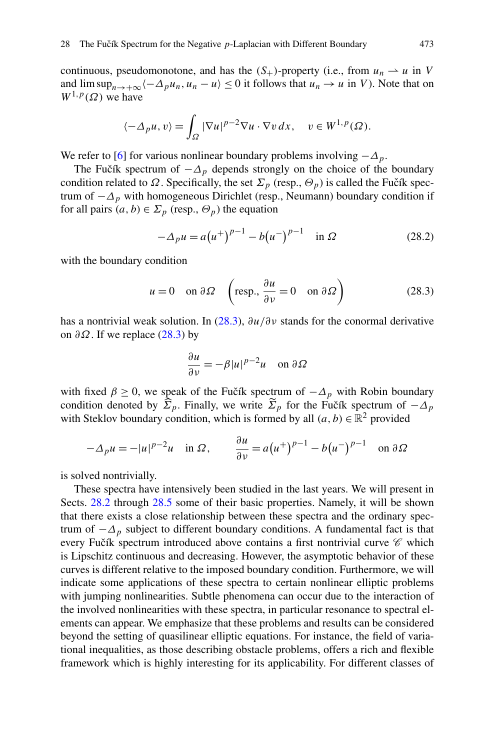continuous, pseudomonotone, and has the  $(S_+)$ -property (i.e., from  $u_n \rightharpoonup u$  in *V* and  $\limsup_{n\to+\infty}\langle-\Delta_p u_n, u_n-u\rangle\leq 0$  it follows that  $u_n\to u$  in *V*). Note that on  $W^{1,p}(\Omega)$  we have

$$
\langle -\Delta_p u, v \rangle = \int_{\Omega} |\nabla u|^{p-2} \nabla u \cdot \nabla v \, dx, \quad v \in W^{1,p}(\Omega).
$$

We refer to [\[6](#page-13-7)] for various nonlinear boundary problems involving  $-\Delta_p$ .

The Fučík spectrum of  $-\Delta_p$  depends strongly on the choice of the boundary condition related to  $\Omega$ . Specifically, the set  $\Sigma_p$  (resp.,  $\Theta_p$ ) is called the Fučík spectrum of  $-\Delta_p$  with homogeneous Dirichlet (resp., Neumann) boundary condition if for all pairs  $(a, b) \in \Sigma_p$  (resp.,  $\Theta_p$ ) the equation

<span id="page-2-0"></span>
$$
-\Delta_p u = a(u^+)^{p-1} - b(u^-)^{p-1} \quad \text{in } \Omega
$$
 (28.2)

with the boundary condition

$$
u = 0
$$
 on  $\partial \Omega$   $\left(\text{resp., }\frac{\partial u}{\partial \nu} = 0 \text{ on } \partial \Omega\right)$  (28.3)

has a nontrivial weak solution. In ([28.3](#page-2-0)), *∂u/∂ν* stands for the conormal derivative on *∂Ω*. If we replace ([28.3](#page-2-0)) by

$$
\frac{\partial u}{\partial v} = -\beta |u|^{p-2} u \quad \text{on } \partial \Omega
$$

with fixed  $\beta \ge 0$ , we speak of the Fučík spectrum of  $-\Delta_p$  with Robin boundary condition denoted by  $\widehat{\Sigma}_p$ . Finally, we write  $\widetilde{\Sigma}_p$  for the Fucík spectrum of  $-\Delta_p$ with Steklov boundary condition, which is formed by all  $(a, b) \in \mathbb{R}^2$  provided

$$
-\Delta_p u = -|u|^{p-2}u \quad \text{in } \Omega, \qquad \frac{\partial u}{\partial v} = a(u^+)^{p-1} - b(u^-)^{p-1} \quad \text{on } \partial\Omega
$$

is solved nontrivially.

These spectra have intensively been studied in the last years. We will present in Sects. [28.2](#page-3-0) through [28.5](#page-11-0) some of their basic properties. Namely, it will be shown that there exists a close relationship between these spectra and the ordinary spectrum of  $-\Delta_p$  subject to different boundary conditions. A fundamental fact is that every Fučík spectrum introduced above contains a first nontrivial curve  $\mathscr C$  which is Lipschitz continuous and decreasing. However, the asymptotic behavior of these curves is different relative to the imposed boundary condition. Furthermore, we will indicate some applications of these spectra to certain nonlinear elliptic problems with jumping nonlinearities. Subtle phenomena can occur due to the interaction of the involved nonlinearities with these spectra, in particular resonance to spectral elements can appear. We emphasize that these problems and results can be considered beyond the setting of quasilinear elliptic equations. For instance, the field of variational inequalities, as those describing obstacle problems, offers a rich and flexible framework which is highly interesting for its applicability. For different classes of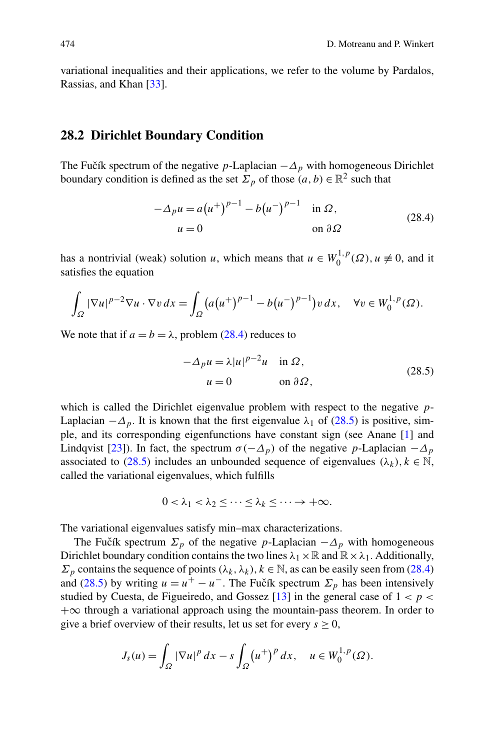<span id="page-3-0"></span>variational inequalities and their applications, we refer to the volume by Pardalos, Rassias, and Khan [[33\]](#page-14-7).

#### **28.2 Dirichlet Boundary Condition**

The Fučík spectrum of the negative *p*-Laplacian  $-\Delta_p$  with homogeneous Dirichlet boundary condition is defined as the set  $\Sigma_p$  of those  $(a, b) \in \mathbb{R}^2$  such that

<span id="page-3-1"></span>
$$
-\Delta_p u = a(u^+)^{p-1} - b(u^-)^{p-1} \quad \text{in } \Omega,
$$
  
 
$$
u = 0 \qquad \text{on } \partial\Omega
$$
 (28.4)

has a nontrivial (weak) solution *u*, which means that  $u \in W_0^{1,p}(\Omega)$ ,  $u \neq 0$ , and it satisfies the equation

$$
\int_{\Omega} |\nabla u|^{p-2} \nabla u \cdot \nabla v \, dx = \int_{\Omega} \left( a(u^+)^{p-1} - b(u^-)^{p-1} \right) v \, dx, \quad \forall v \in W_0^{1,p}(\Omega).
$$

We note that if  $a = b = \lambda$ , problem [\(28.4\)](#page-3-1) reduces to

<span id="page-3-2"></span>
$$
-\Delta_p u = \lambda |u|^{p-2} u \quad \text{in } \Omega,
$$
  
 
$$
u = 0 \qquad \text{on } \partial \Omega,
$$
 (28.5)

which is called the Dirichlet eigenvalue problem with respect to the negative *p*-Laplacian  $-\Delta_p$ . It is known that the first eigenvalue  $\lambda_1$  of [\(28.5\)](#page-3-2) is positive, simple, and its corresponding eigenfunctions have constant sign (see Anane [\[1\]](#page-13-8) and Lindqvist [[23\]](#page-14-8)). In fact, the spectrum  $\sigma(-\Delta_p)$  of the negative *p*-Laplacian  $-\Delta_p$ associated to [\(28.5](#page-3-2)) includes an unbounded sequence of eigenvalues  $(\lambda_k)$ ,  $k \in \mathbb{N}$ , called the variational eigenvalues, which fulfills

$$
0<\lambda_1<\lambda_2\leq\cdots\leq\lambda_k\leq\cdots\rightarrow+\infty.
$$

The variational eigenvalues satisfy min–max characterizations.

The Fučík spectrum  $\Sigma_p$  of the negative *p*-Laplacian  $-\Delta_p$  with homogeneous Dirichlet boundary condition contains the two lines  $\lambda_1 \times \mathbb{R}$  and  $\mathbb{R} \times \lambda_1$ . Additionally, *Σ*<sub>*p*</sub> contains the sequence of points  $(λ_k, λ_k)$ ,  $k ∈ ℕ$ , as can be easily seen from ([28.4](#page-3-1)) and ([28.5](#page-3-2)) by writing  $u = u^+ - u^-$ . The Fuctor Spectrum  $\Sigma_p$  has been intensively studied by Cuesta, de Figueiredo, and Gossez  $[13]$  in the general case of  $1 < p <$  $+\infty$  through a variational approach using the mountain-pass theorem. In order to give a brief overview of their results, let us set for every  $s \geq 0$ ,

$$
J_s(u) = \int_{\Omega} |\nabla u|^p dx - s \int_{\Omega} (u^+)^p dx, \quad u \in W_0^{1,p}(\Omega).
$$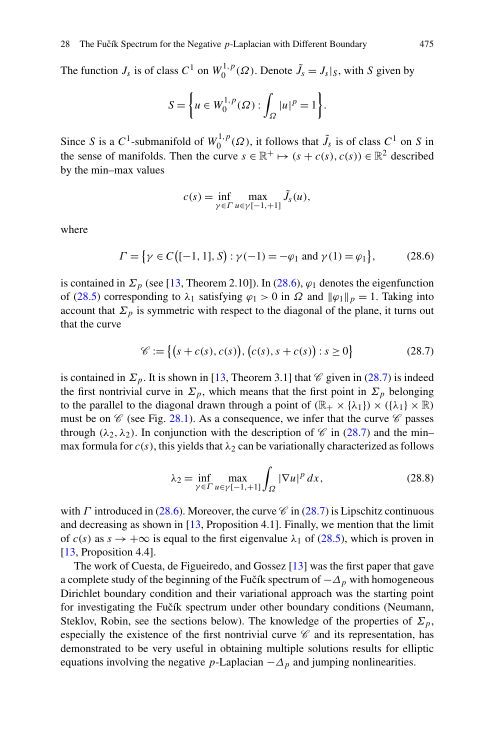The function  $J_s$  is of class  $C^1$  on  $W_0^{1,p}(\Omega)$ . Denote  $\tilde{J}_s = J_s |_{S}$ , with *S* given by

$$
S = \left\{ u \in W_0^{1,p}(\Omega) : \int_{\Omega} |u|^p = 1 \right\}.
$$

Since *S* is a  $C^1$ -submanifold of  $W_0^{1,p}(\Omega)$ , it follows that  $\tilde{J}_s$  is of class  $C^1$  on *S* in the sense of manifolds. Then the curve  $s \in \mathbb{R}^+ \mapsto (s + c(s), c(s)) \in \mathbb{R}^2$  described by the min–max values

<span id="page-4-1"></span><span id="page-4-0"></span>
$$
c(s) = \inf_{\gamma \in \Gamma} \max_{u \in \gamma[-1, +1]} \tilde{J}_s(u),
$$

where

 $\Gamma = \{ \gamma \in C \big( [-1, 1], S \big) : \gamma(-1) = -\varphi_1 \text{ and } \gamma(1) = \varphi_1 \}$ *,* (28.6)

is contained in  $\Sigma_p$  (see [[13,](#page-13-9) Theorem 2.10]). In [\(28.6](#page-4-0)),  $\varphi_1$  denotes the eigenfunction of ([28.5](#page-3-2)) corresponding to  $\lambda_1$  satisfying  $\varphi_1 > 0$  in  $\Omega$  and  $\|\varphi_1\|_p = 1$ . Taking into account that  $\Sigma_p$  is symmetric with respect to the diagonal of the plane, it turns out that the curve

$$
\mathcal{C} := \{ (s + c(s), c(s)), (c(s), s + c(s)) : s \ge 0 \}
$$
 (28.7)

is contained in  $\Sigma_p$ . It is shown in [[13,](#page-13-9) Theorem 3.1] that *C* given in ([28.7](#page-4-1)) is indeed the first nontrivial curve in  $\Sigma_p$ , which means that the first point in  $\Sigma_p$  belonging to the parallel to the diagonal drawn through a point of  $(\mathbb{R}_+ \times {\lambda_1}) \times ({\lambda_1} \times \mathbb{R})$ must be on  $\mathscr C$  (see Fig. [28.1\)](#page-5-0). As a consequence, we infer that the curve  $\mathscr C$  passes through  $(\lambda_2, \lambda_2)$ . In conjunction with the description of  $\mathscr C$  in [\(28.7\)](#page-4-1) and the minmax formula for  $c(s)$ , this yields that  $\lambda_2$  can be variationally characterized as follows

<span id="page-4-2"></span>
$$
\lambda_2 = \inf_{\gamma \in \Gamma} \max_{u \in \gamma[-1, +1]} \int_{\Omega} |\nabla u|^p \, dx,\tag{28.8}
$$

with *Γ* introduced in [\(28.6\)](#page-4-0). Moreover, the curve  $\mathscr C$  in [\(28.7\)](#page-4-1) is Lipschitz continuous and decreasing as shown in  $[13,$  $[13,$  Proposition 4.1]. Finally, we mention that the limit of  $c(s)$  as  $s \to +\infty$  is equal to the first eigenvalue  $\lambda_1$  of [\(28.5\)](#page-3-2), which is proven in [\[13](#page-13-9), Proposition 4.4].

The work of Cuesta, de Figueiredo, and Gossez [[13\]](#page-13-9) was the first paper that gave a complete study of the beginning of the Fučík spectrum of  $-\Delta_p$  with homogeneous Dirichlet boundary condition and their variational approach was the starting point for investigating the Fučík spectrum under other boundary conditions (Neumann, Steklov, Robin, see the sections below). The knowledge of the properties of  $\Sigma_p$ , especially the existence of the first nontrivial curve  $\mathscr C$  and its representation, has demonstrated to be very useful in obtaining multiple solutions results for elliptic equations involving the negative *p*-Laplacian  $-\Delta_p$  and jumping nonlinearities.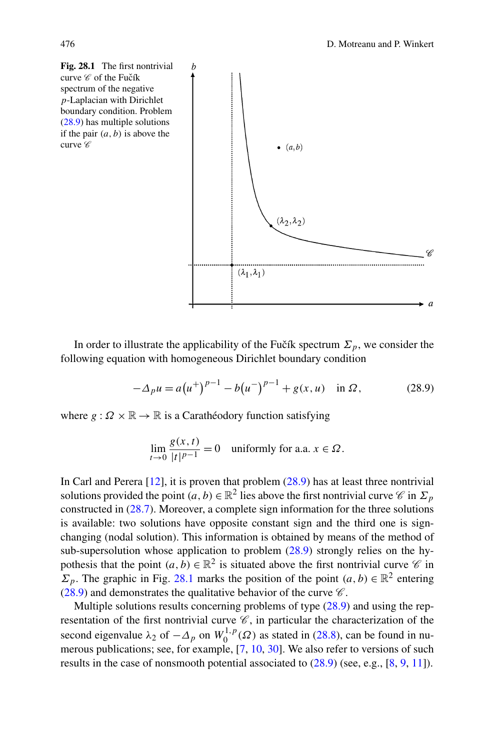<span id="page-5-0"></span>

In order to illustrate the applicability of the Fučík spectrum  $\Sigma_p$ , we consider the following equation with homogeneous Dirichlet boundary condition

<span id="page-5-1"></span>
$$
-\Delta_p u = a(u^+)^{p-1} - b(u^-)^{p-1} + g(x, u) \quad \text{in } \Omega,\tag{28.9}
$$

where  $g: \Omega \times \mathbb{R} \to \mathbb{R}$  is a Carathéodory function satisfying

$$
\lim_{t \to 0} \frac{g(x, t)}{|t|^{p-1}} = 0 \quad \text{uniformly for a.a. } x \in \Omega.
$$

In Carl and Perera  $[12]$  $[12]$ , it is proven that problem  $(28.9)$  $(28.9)$  $(28.9)$  has at least three nontrivial solutions provided the point  $(a, b) \in \mathbb{R}^2$  lies above the first nontrivial curve  $\mathcal C$  in  $\Sigma_p$ constructed in ([28.7\)](#page-4-1). Moreover, a complete sign information for the three solutions is available: two solutions have opposite constant sign and the third one is signchanging (nodal solution). This information is obtained by means of the method of sub-supersolution whose application to problem  $(28.9)$  $(28.9)$  $(28.9)$  strongly relies on the hypothesis that the point  $(a, b) \in \mathbb{R}^2$  is situated above the first nontrivial curve  $\mathscr{C}$  in *Σ*<sub>*p*</sub>. The graphic in Fig. [28.1](#page-5-0) marks the position of the point  $(a, b) \in \mathbb{R}^2$  entering [\(28.9\)](#page-5-1) and demonstrates the qualitative behavior of the curve  $\mathscr C$ .

Multiple solutions results concerning problems of type [\(28.9\)](#page-5-1) and using the representation of the first nontrivial curve  $\mathscr{C}$ , in particular the characterization of the second eigenvalue  $\lambda_2$  of  $-\Delta_p$  on  $W_0^{1,p}(\Omega)$  as stated in [\(28.8\)](#page-4-2), can be found in numerous publications; see, for example, [[7,](#page-13-11) [10,](#page-13-12) [30\]](#page-14-9). We also refer to versions of such results in the case of nonsmooth potential associated to ([28.9](#page-5-1)) (see, e.g., [[8,](#page-13-13) [9,](#page-13-14) [11\]](#page-13-15)).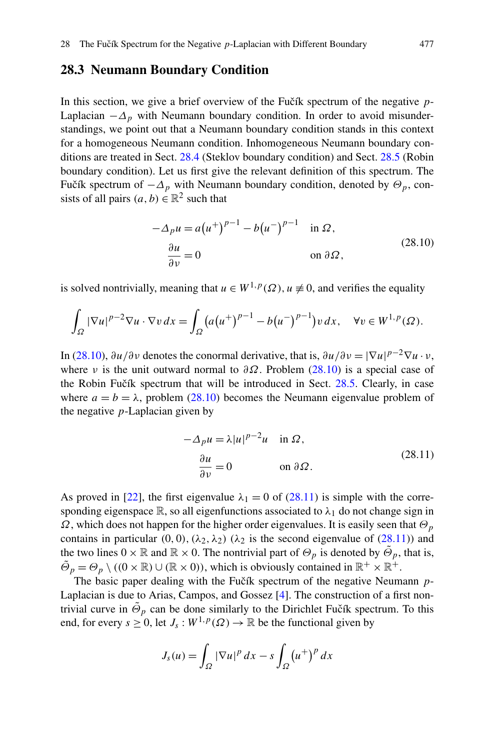# <span id="page-6-2"></span>**28.3 Neumann Boundary Condition**

In this section, we give a brief overview of the Fuch spectrum of the negative  $p$ -Laplacian  $-\Delta_p$  with Neumann boundary condition. In order to avoid misunderstandings, we point out that a Neumann boundary condition stands in this context for a homogeneous Neumann condition. Inhomogeneous Neumann boundary conditions are treated in Sect. [28.4](#page-8-0) (Steklov boundary condition) and Sect. [28.5](#page-11-0) (Robin boundary condition). Let us first give the relevant definition of this spectrum. The Fučík spectrum of  $-\Delta_p$  with Neumann boundary condition, denoted by  $\Theta_p$ , consists of all pairs  $(a, b) \in \mathbb{R}^2$  such that

<span id="page-6-0"></span>
$$
-\Delta_p u = a(u^+)^{p-1} - b(u^-)^{p-1} \quad \text{in } \Omega,
$$
  
\n
$$
\frac{\partial u}{\partial v} = 0 \qquad \text{on } \partial \Omega,
$$
\n(28.10)

is solved nontrivially, meaning that  $u \in W^{1,p}(\Omega)$ ,  $u \neq 0$ , and verifies the equality

$$
\int_{\Omega} |\nabla u|^{p-2} \nabla u \cdot \nabla v \, dx = \int_{\Omega} \left( a(u^+)^{p-1} - b(u^-)^{p-1} \right) v \, dx, \quad \forall v \in W^{1,p}(\Omega).
$$

In ([28.10](#page-6-0)),  $\partial u/\partial v$  denotes the conormal derivative, that is,  $\partial u/\partial v = |\nabla u|^{p-2} \nabla u \cdot v$ , where *ν* is the unit outward normal to  $\partial \Omega$ . Problem [\(28.10\)](#page-6-0) is a special case of the Robin Fučík spectrum that will be introduced in Sect. [28.5](#page-11-0). Clearly, in case where  $a = b = \lambda$ , problem ([28.10\)](#page-6-0) becomes the Neumann eigenvalue problem of the negative *p*-Laplacian given by

<span id="page-6-1"></span>
$$
-\Delta_p u = \lambda |u|^{p-2}u \quad \text{in } \Omega,
$$
  

$$
\frac{\partial u}{\partial v} = 0 \qquad \text{on } \partial \Omega.
$$
 (28.11)

As proved in [[22\]](#page-14-10), the first eigenvalue  $\lambda_1 = 0$  of ([28.11](#page-6-1)) is simple with the corresponding eigenspace  $\mathbb{R}$ , so all eigenfunctions associated to  $\lambda_1$  do not change sign in *Ω*, which does not happen for the higher order eigenvalues. It is easily seen that  $Θ$ <sub>*p*</sub> contains in particular  $(0, 0)$ ,  $(\lambda_2, \lambda_2)$   $(\lambda_2$  is the second eigenvalue of  $(28.11)$  $(28.11)$  $(28.11)$ ) and the two lines  $0 \times \mathbb{R}$  and  $\mathbb{R} \times 0$ . The nontrivial part of  $\Theta_p$  is denoted by  $\overline{\Theta}_p$ , that is,  $\tilde{\Theta}_p = \Theta_p \setminus ((0 \times \mathbb{R}) \cup (\mathbb{R} \times 0))$ , which is obviously contained in  $\mathbb{R}^+ \times \mathbb{R}^+$ .

The basic paper dealing with the Fučík spectrum of the negative Neumann p-Laplacian is due to Arias, Campos, and Gossez [\[4](#page-13-16)]. The construction of a first nontrivial curve in  $\tilde{\Theta}_p$  can be done similarly to the Dirichlet Fučík spectrum. To this end, for every  $s \ge 0$ , let  $J_s : W^{1,p}(\Omega) \to \mathbb{R}$  be the functional given by

$$
J_s(u) = \int_{\Omega} |\nabla u|^p dx - s \int_{\Omega} (u^+)^p dx
$$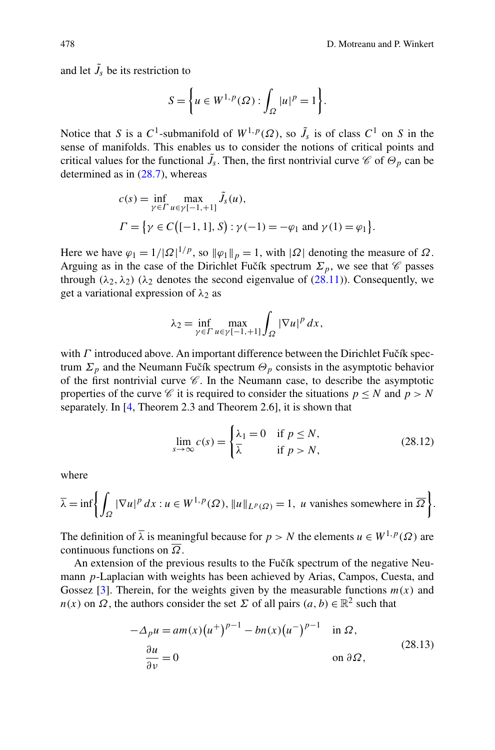and let  $\tilde{J}_s$  be its restriction to

$$
S = \left\{ u \in W^{1,p}(\Omega) : \int_{\Omega} |u|^p = 1 \right\}.
$$

Notice that *S* is a  $C^1$ -submanifold of  $W^{1,p}(\Omega)$ , so  $\tilde{J}_s$  is of class  $C^1$  on *S* in the sense of manifolds. This enables us to consider the notions of critical points and critical values for the functional  $\tilde{J}_s$ . Then, the first nontrivial curve  $\mathscr{C}$  of  $\Theta_p$  can be determined as in [\(28.7\)](#page-4-1), whereas

$$
c(s) = \inf_{\gamma \in \Gamma} \max_{u \in \gamma[-1, +1]} \tilde{J}_s(u),
$$
  
\n
$$
\Gamma = \{ \gamma \in C([-1, 1], S) : \gamma(-1) = -\varphi_1 \text{ and } \gamma(1) = \varphi_1 \}.
$$

Here we have  $\varphi_1 = 1/|\Omega|^{1/p}$ , so  $\|\varphi_1\|_p = 1$ , with  $|\Omega|$  denoting the measure of  $\Omega$ . Arguing as in the case of the Dirichlet Fučík spectrum  $\Sigma_p$ , we see that  $\mathscr C$  passes through  $(\lambda_2, \lambda_2)$   $(\lambda_2$  denotes the second eigenvalue of [\(28.11\)](#page-6-1)). Consequently, we get a variational expression of *λ*<sup>2</sup> as

<span id="page-7-0"></span>
$$
\lambda_2 = \inf_{\gamma \in \Gamma} \max_{u \in \gamma[-1, +1]} \int_{\Omega} |\nabla u|^p \, dx,
$$

with *Γ* introduced above. An important difference between the Dirichlet Fučík spectrum  $\Sigma_p$  and the Neumann Fučík spectrum  $\Theta_p$  consists in the asymptotic behavior of the first nontrivial curve  $\mathscr C$ . In the Neumann case, to describe the asymptotic properties of the curve  $\mathscr C$  it is required to consider the situations  $p \leq N$  and  $p > N$ separately. In [[4,](#page-13-16) Theorem 2.3 and Theorem 2.6], it is shown that

$$
\lim_{s \to \infty} c(s) = \begin{cases} \lambda_1 = 0 & \text{if } p \le N, \\ \overline{\lambda} & \text{if } p > N, \end{cases}
$$
 (28.12)

where

$$
\overline{\lambda} = \inf \left\{ \int_{\Omega} |\nabla u|^p dx : u \in W^{1,p}(\Omega), ||u||_{L^p(\Omega)} = 1, u \text{ vanishes somewhere in } \overline{\Omega} \right\}.
$$

The definition of  $\overline{\lambda}$  is meaningful because for  $p > N$  the elements  $u \in W^{1,p}(\Omega)$  are continuous functions on *Ω*.

An extension of the previous results to the Fučík spectrum of the negative Neumann *p*-Laplacian with weights has been achieved by Arias, Campos, Cuesta, and Gossez  $[3]$  $[3]$ . Therein, for the weights given by the measurable functions  $m(x)$  and *n(x)* on *Ω*, the authors consider the set *Σ* of all pairs  $(a, b) \in \mathbb{R}^2$  such that

$$
-\Delta_p u = am(x)\left(u^+\right)^{p-1} - bn(x)\left(u^-\right)^{p-1} \quad \text{in } \Omega,
$$
\n
$$
\frac{\partial u}{\partial v} = 0 \qquad \text{on } \partial \Omega,
$$
\n(28.13)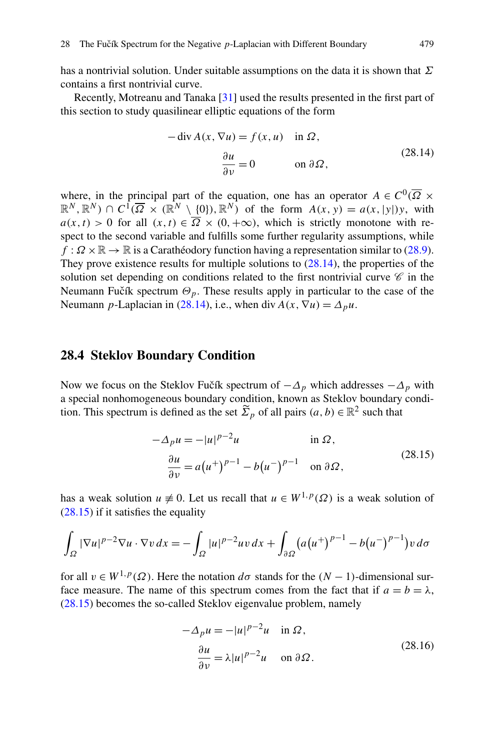has a nontrivial solution. Under suitable assumptions on the data it is shown that *Σ* contains a first nontrivial curve.

Recently, Motreanu and Tanaka [\[31](#page-14-11)] used the results presented in the first part of this section to study quasilinear elliptic equations of the form

<span id="page-8-1"></span>
$$
-\operatorname{div} A(x, \nabla u) = f(x, u) \quad \text{in } \Omega,
$$

$$
\frac{\partial u}{\partial v} = 0 \qquad \text{on } \partial \Omega,
$$
 (28.14)

<span id="page-8-0"></span>where, in the principal part of the equation, one has an operator  $A \in C^0(\overline{\Omega} \times$  $\mathbb{R}^N, \mathbb{R}^N$ )  $\cap C^1(\overline{\Omega} \times (\mathbb{R}^N \setminus \{0\}), \mathbb{R}^N)$  of the form  $A(x, y) = a(x, |y|)y$ , with  $a(x, t) > 0$  for all  $(x, t) \in \overline{\Omega} \times (0, +\infty)$ , which is strictly monotone with respect to the second variable and fulfills some further regularity assumptions, while  $f : \Omega \times \mathbb{R} \to \mathbb{R}$  is a Carathéodory function having a representation similar to [\(28.9\)](#page-5-1). They prove existence results for multiple solutions to ([28.14](#page-8-1)), the properties of the solution set depending on conditions related to the first nontrivial curve  $\mathscr C$  in the Neumann Fučík spectrum  $\Theta_p$ . These results apply in particular to the case of the Neumann *p*-Laplacian in [\(28.14\)](#page-8-1), i.e., when div  $A(x, \nabla u) = \Delta_p u$ .

#### **28.4 Steklov Boundary Condition**

Now we focus on the Steklov Fučík spectrum of  $-\Delta_p$  which addresses  $-\Delta_p$  with a special nonhomogeneous boundary condition, known as Steklov boundary condition. This spectrum is defined as the set  $\widetilde{\Sigma}_p$  of all pairs  $(a, b) \in \mathbb{R}^2$  such that

<span id="page-8-2"></span>
$$
-\Delta_p u = -|u|^{p-2}u \qquad \text{in } \Omega,
$$
  

$$
\frac{\partial u}{\partial v} = a(u^+)^{p-1} - b(u^-)^{p-1} \qquad \text{on } \partial\Omega,
$$
 (28.15)

has a weak solution  $u \neq 0$ . Let us recall that  $u \in W^{1,p}(\Omega)$  is a weak solution of  $(28.15)$  if it satisfies the equality

$$
\int_{\Omega} |\nabla u|^{p-2} \nabla u \cdot \nabla v \, dx = -\int_{\Omega} |u|^{p-2} u v \, dx + \int_{\partial \Omega} (a(u^+)^{p-1} - b(u^-)^{p-1}) v \, d\sigma
$$

for all  $v \in W^{1,p}(\Omega)$ . Here the notation  $d\sigma$  stands for the  $(N-1)$ -dimensional surface measure. The name of this spectrum comes from the fact that if  $a = b = \lambda$ , [\(28.15\)](#page-8-2) becomes the so-called Steklov eigenvalue problem, namely

<span id="page-8-3"></span>
$$
-\Delta_p u = -|u|^{p-2}u \quad \text{in } \Omega,
$$
  

$$
\frac{\partial u}{\partial v} = \lambda |u|^{p-2}u \quad \text{on } \partial \Omega.
$$
 (28.16)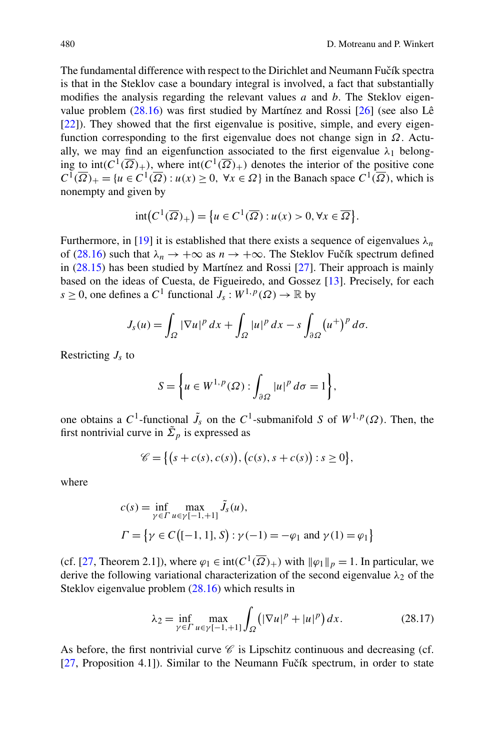The fundamental difference with respect to the Dirichlet and Neumann Fučík spectra is that in the Steklov case a boundary integral is involved, a fact that substantially modifies the analysis regarding the relevant values *a* and *b*. The Steklov eigenvalue problem ([28.16](#page-8-3)) was first studied by Martínez and Rossi [[26\]](#page-14-12) (see also Lê [\[22](#page-14-10)]). They showed that the first eigenvalue is positive, simple, and every eigenfunction corresponding to the first eigenvalue does not change sign in *Ω*. Actually, we may find an eigenfunction associated to the first eigenvalue  $\lambda_1$  belonging to  $int(C^1(\overline{\Omega})_+)$ , where  $int(C^1(\overline{\Omega})_+)$  denotes the interior of the positive cone  $C^1(\overline{\Omega})_+ = \{u \in C^1(\overline{\Omega}) : u(x) \ge 0, \forall x \in \Omega\}$  in the Banach space  $C^1(\overline{\Omega})$ , which is nonempty and given by

$$
int(C^1(\overline{\Omega})_+) = \{u \in C^1(\overline{\Omega}) : u(x) > 0, \forall x \in \overline{\Omega}\}.
$$

Furthermore, in [[19\]](#page-13-18) it is established that there exists a sequence of eigenvalues  $\lambda_n$ of [\(28.16\)](#page-8-3) such that  $\lambda_n \to +\infty$  as  $n \to +\infty$ . The Steklov Fučík spectrum defined in ([28.15](#page-8-2)) has been studied by Martínez and Rossi [[27\]](#page-14-13). Their approach is mainly based on the ideas of Cuesta, de Figueiredo, and Gossez [[13\]](#page-13-9). Precisely, for each *s*  $\geq$  0, one defines a *C*<sup>1</sup> functional  $J_s : W^{1,p}(\Omega) \to \mathbb{R}$  by

$$
J_s(u) = \int_{\Omega} |\nabla u|^p \, dx + \int_{\Omega} |u|^p \, dx - s \int_{\partial \Omega} (u^+)^p \, d\sigma.
$$

Restricting *Js* to

$$
S = \bigg\{ u \in W^{1,p}(\Omega) : \int_{\partial \Omega} |u|^p \, d\sigma = 1 \bigg\},\
$$

one obtains a  $C^1$ -functional  $\tilde{J}_s$  on the  $C^1$ -submanifold *S* of  $W^{1,p}(\Omega)$ . Then, the first nontrivial curve in  $\tilde{\Sigma}_p$  is expressed as

<span id="page-9-0"></span>
$$
\mathscr{C} = \{ (s + c(s), c(s)), (c(s), s + c(s)) : s \ge 0 \},\
$$

where

$$
c(s) = \inf_{\gamma \in \Gamma} \max_{u \in \gamma[-1, +1]} \tilde{J}_s(u),
$$
  
\n
$$
\Gamma = \{ \gamma \in C \big( [-1, 1], S \big) : \gamma(-1) = -\varphi_1 \text{ and } \gamma(1) = \varphi_1 \}
$$

(cf. [\[27](#page-14-13), Theorem 2.1]), where  $\varphi_1 \in \text{int}(C^1(\overline{\Omega})_+)$  with  $\|\varphi_1\|_p = 1$ . In particular, we derive the following variational characterization of the second eigenvalue *λ*<sup>2</sup> of the Steklov eigenvalue problem ([28.16](#page-8-3)) which results in

$$
\lambda_2 = \inf_{\gamma \in \Gamma} \max_{u \in \gamma[-1, +1]} \int_{\Omega} (|\nabla u|^p + |u|^p) \, dx. \tag{28.17}
$$

As before, the first nontrivial curve  $\mathscr C$  is Lipschitz continuous and decreasing (cf.  $[27,$  $[27,$  Proposition 4.1]). Similar to the Neumann Fučík spectrum, in order to state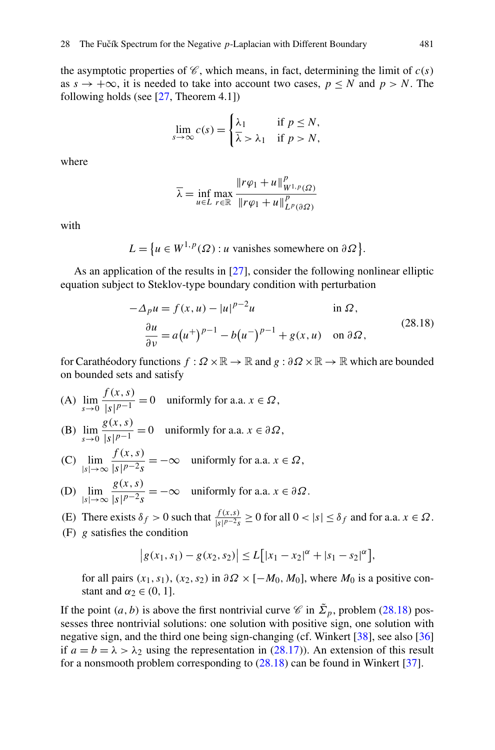the asymptotic properties of  $\mathcal C$ , which means, in fact, determining the limit of  $c(s)$ as  $s \rightarrow +\infty$ , it is needed to take into account two cases,  $p \le N$  and  $p > N$ . The following holds (see  $[27,$  $[27,$  Theorem 4.1])

$$
\lim_{s \to \infty} c(s) = \begin{cases} \lambda_1 & \text{if } p \le N, \\ \overline{\lambda} & \text{if } p > N, \end{cases}
$$

where

<span id="page-10-0"></span>
$$
\overline{\lambda} = \inf_{u \in L} \max_{r \in \mathbb{R}} \frac{\|r\varphi_1 + u\|_{W^{1,p}(\Omega)}^p}{\|r\varphi_1 + u\|_{L^p(\partial\Omega)}^p}
$$

with

$$
L = \{ u \in W^{1,p}(\Omega) : u \text{ vanishes somewhere on } \partial \Omega \}.
$$

As an application of the results in [[27\]](#page-14-13), consider the following nonlinear elliptic equation subject to Steklov-type boundary condition with perturbation

$$
-\Delta_p u = f(x, u) - |u|^{p-2}u \qquad \text{in } \Omega,
$$
  

$$
\frac{\partial u}{\partial v} = a(u^+)^{p-1} - b(u^-)^{p-1} + g(x, u) \quad \text{on } \partial\Omega,
$$
 (28.18)

for Carathéodory functions *f* : *Ω* ×R → R and *g* : *∂Ω* ×R → R which are bounded on bounded sets and satisfy

- (A)  $\lim_{s \to 0} \frac{f(x, s)}{|s|^{p-1}}$  $\sqrt{\frac{x^{n+2}y}{|s|^{p-1}}}$  = 0 uniformly for a.a.  $x \in \Omega$ ,
- (B)  $\lim_{s \to 0} \frac{g(x, s)}{|s|^{p-1}}$  $\frac{\partial}{\partial s}(x, y) = 0$  uniformly for a.a.  $x \in \partial \Omega$ ,
- (C)  $\lim_{|s| \to \infty} \frac{f(x, s)}{|s|^{p-2} s}$  $\frac{f(x, y)}{|s|^{p-2}s} = -\infty$  uniformly for a.a.  $x \in \Omega$ ,
- (D) lim |*s*|→∞ *g(x,s)*  $\frac{\partial}{\partial s}(x, y, z)}{|s|^{p-2}s} = -\infty$  uniformly for a.a.  $x \in \partial \Omega$ .
- (E) There exists  $\delta_f > 0$  such that  $\frac{f(x,s)}{|s|^{p-2}s} \ge 0$  for all  $0 < |s| \le \delta_f$  and for a.a.  $x \in \Omega$ .
- (F) *g* satisfies the condition

$$
|g(x_1, s_1) - g(x_2, s_2)| \le L[|x_1 - x_2|^{\alpha} + |s_1 - s_2|^{\alpha}],
$$

for all pairs  $(x_1, s_1)$ ,  $(x_2, s_2)$  in  $\partial \Omega \times [-M_0, M_0]$ , where  $M_0$  is a positive constant and  $\alpha_2 \in (0, 1]$ .

If the point  $(a, b)$  is above the first nontrivial curve  $\mathcal C$  in  $\tilde{\Sigma}_p$ , problem ([28.18](#page-10-0)) possesses three nontrivial solutions: one solution with positive sign, one solution with negative sign, and the third one being sign-changing (cf. Winkert [\[38](#page-14-14)], see also [\[36](#page-14-15)] if  $a = b = \lambda > \lambda_2$  using the representation in [\(28.17\)](#page-9-0)). An extension of this result for a nonsmooth problem corresponding to [\(28.18\)](#page-10-0) can be found in Winkert [[37\]](#page-14-16).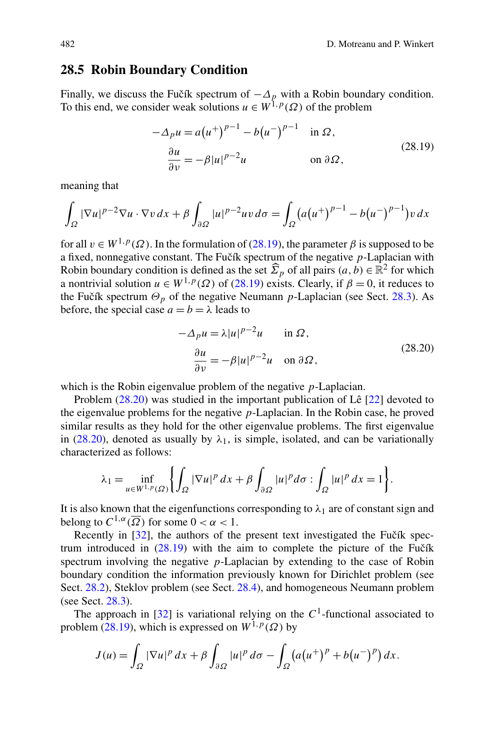## <span id="page-11-0"></span>**28.5 Robin Boundary Condition**

Finally, we discuss the Fucík spectrum of  $-\Delta_p$  with a Robin boundary condition. To this end, we consider weak solutions  $u \in W^{1,p}(\Omega)$  of the problem

<span id="page-11-1"></span>
$$
-\Delta_p u = a(u^+)^{p-1} - b(u^-)^{p-1} \quad \text{in } \Omega,
$$
  

$$
\frac{\partial u}{\partial v} = -\beta |u|^{p-2} u \qquad \text{on } \partial \Omega,
$$
 (28.19)

meaning that

$$
\int_{\Omega} |\nabla u|^{p-2} \nabla u \cdot \nabla v \, dx + \beta \int_{\partial \Omega} |u|^{p-2} u v \, d\sigma = \int_{\Omega} (a(u^+)^{p-1} - b(u^-)^{p-1}) v \, dx
$$

for all  $v \in W^{1,p}(\Omega)$ . In the formulation of [\(28.19\)](#page-11-1), the parameter *β* is supposed to be a fixed, nonnegative constant. The Fučík spectrum of the negative  $p$ -Laplacian with Robin boundary condition is defined as the set  $\hat{\Sigma}_p$  of all pairs  $(a, b) \in \mathbb{R}^2$  for which a nontrivial solution  $u \in W^{1,p}(\Omega)$  of [\(28.19\)](#page-11-1) exists. Clearly, if  $\beta = 0$ , it reduces to the Fučík spectrum  $\Theta_p$  of the negative Neumann *p*-Laplacian (see Sect. [28.3\)](#page-6-2). As before, the special case  $a = b = \lambda$  leads to

<span id="page-11-2"></span>
$$
-\Delta_p u = \lambda |u|^{p-2}u \quad \text{in } \Omega,
$$
  

$$
\frac{\partial u}{\partial v} = -\beta |u|^{p-2}u \quad \text{on } \partial \Omega,
$$
 (28.20)

which is the Robin eigenvalue problem of the negative *p*-Laplacian.

Problem ([28.20](#page-11-2)) was studied in the important publication of Lê [\[22](#page-14-10)] devoted to the eigenvalue problems for the negative *p*-Laplacian. In the Robin case, he proved similar results as they hold for the other eigenvalue problems. The first eigenvalue in [\(28.20\)](#page-11-2), denoted as usually by  $\lambda_1$ , is simple, isolated, and can be variationally characterized as follows:

$$
\lambda_1 = \inf_{u \in W^{1,p}(\Omega)} \left\{ \int_{\Omega} |\nabla u|^p \, dx + \beta \int_{\partial \Omega} |u|^p \, d\sigma : \int_{\Omega} |u|^p \, dx = 1 \right\}.
$$

It is also known that the eigenfunctions corresponding to  $\lambda_1$  are of constant sign and belong to  $C^{1,\alpha}(\overline{\Omega})$  for some  $0 < \alpha < 1$ .

Recently in  $[32]$  $[32]$ , the authors of the present text investigated the Fučík spectrum introduced in  $(28.19)$  with the aim to complete the picture of the Fuctor spectrum involving the negative *p*-Laplacian by extending to the case of Robin boundary condition the information previously known for Dirichlet problem (see Sect. [28.2](#page-3-0)), Steklov problem (see Sect. [28.4](#page-8-0)), and homogeneous Neumann problem (see Sect. [28.3\)](#page-6-2).

The approach in  $[32]$  $[32]$  is variational relying on the  $C<sup>1</sup>$ -functional associated to problem ([28.19](#page-11-1)), which is expressed on  $W^{1,p}(\Omega)$  by

$$
J(u) = \int_{\Omega} |\nabla u|^p dx + \beta \int_{\partial \Omega} |u|^p d\sigma - \int_{\Omega} (a(u^+)^p + b(u^-)^p) dx.
$$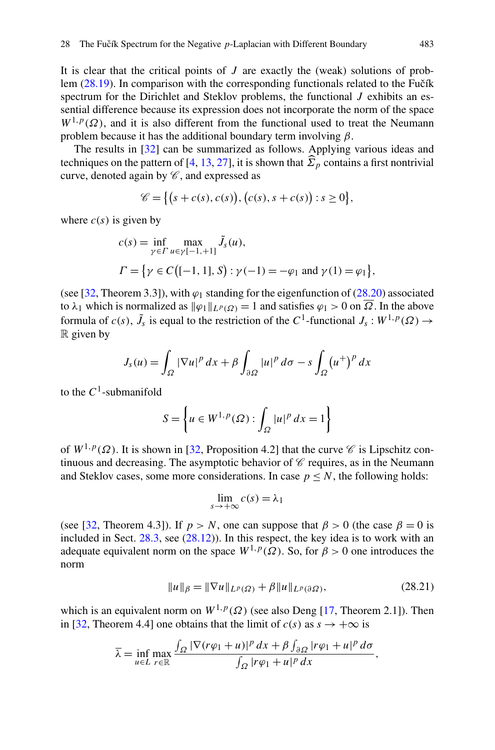It is clear that the critical points of *J* are exactly the (weak) solutions of problem  $(28.19)$  $(28.19)$  $(28.19)$ . In comparison with the corresponding functionals related to the Fučík spectrum for the Dirichlet and Steklov problems, the functional *J* exhibits an essential difference because its expression does not incorporate the norm of the space  $W^{1,p}(\Omega)$ , and it is also different from the functional used to treat the Neumann problem because it has the additional boundary term involving *β*.

The results in [\[32](#page-14-17)] can be summarized as follows. Applying various ideas and techniques on the pattern of [\[4](#page-13-16), [13,](#page-13-9) [27\]](#page-14-13), it is shown that  $\widehat{\Sigma}_p$  contains a first nontrivial curve, denoted again by  $\mathscr{C}$ , and expressed as

$$
\mathscr{C} = \{ (s + c(s), c(s)), (c(s), s + c(s)) : s \ge 0 \},\
$$

where  $c(s)$  is given by

$$
c(s) = \inf_{\gamma \in \Gamma} \max_{u \in \gamma[-1, +1]} \tilde{J}_s(u),
$$
  
\n
$$
\Gamma = \{ \gamma \in C \big( [-1, 1], S \big) : \gamma(-1) = -\varphi_1 \text{ and } \gamma(1) = \varphi_1 \},
$$

(see [\[32](#page-14-17), Theorem 3.3]), with  $\varphi_1$  standing for the eigenfunction of ([28.20](#page-11-2)) associated to  $\lambda_1$  which is normalized as  $\|\varphi_1\|_{L^p(\Omega)} = 1$  and satisfies  $\varphi_1 > 0$  on  $\overline{\Omega}$ . In the above formula of  $c(s)$ ,  $\tilde{J}_s$  is equal to the restriction of the  $C^1$ -functional  $J_s : W^{1,p}(\Omega) \to$  $\mathbb R$  given by

$$
J_s(u) = \int_{\Omega} |\nabla u|^p dx + \beta \int_{\partial \Omega} |u|^p d\sigma - s \int_{\Omega} (u^+)^p dx
$$

to the  $C^1$ -submanifold

$$
S = \left\{ u \in W^{1,p}(\Omega) : \int_{\Omega} |u|^p \, dx = 1 \right\}
$$

of  $W^{1,p}(\Omega)$ . It is shown in [\[32](#page-14-17), Proposition 4.2] that the curve  $\mathscr C$  is Lipschitz continuous and decreasing. The asymptotic behavior of  $\mathscr C$  requires, as in the Neumann and Steklov cases, some more considerations. In case  $p \leq N$ , the following holds:

$$
\lim_{s \to +\infty} c(s) = \lambda_1
$$

(see [\[32](#page-14-17), Theorem 4.3]). If  $p > N$ , one can suppose that  $\beta > 0$  (the case  $\beta = 0$  is included in Sect. [28.3](#page-6-2), see [\(28.12\)](#page-7-0)). In this respect, the key idea is to work with an adequate equivalent norm on the space  $W^{1,p}(\Omega)$ . So, for  $\beta > 0$  one introduces the norm

$$
||u||_{\beta} = ||\nabla u||_{L^{p}(\Omega)} + \beta ||u||_{L^{p}(\partial \Omega)},
$$
\n(28.21)

which is an equivalent norm on  $W^{1,p}(\Omega)$  (see also Deng [\[17](#page-13-19), Theorem 2.1]). Then in [\[32](#page-14-17), Theorem 4.4] one obtains that the limit of  $c(s)$  as  $s \to +\infty$  is

$$
\overline{\lambda} = \inf_{u \in L} \max_{r \in \mathbb{R}} \frac{\int_{\Omega} |\nabla (r\varphi_1 + u)|^p \, dx + \beta \int_{\partial \Omega} |r\varphi_1 + u|^p \, d\sigma}{\int_{\Omega} |r\varphi_1 + u|^p \, dx},
$$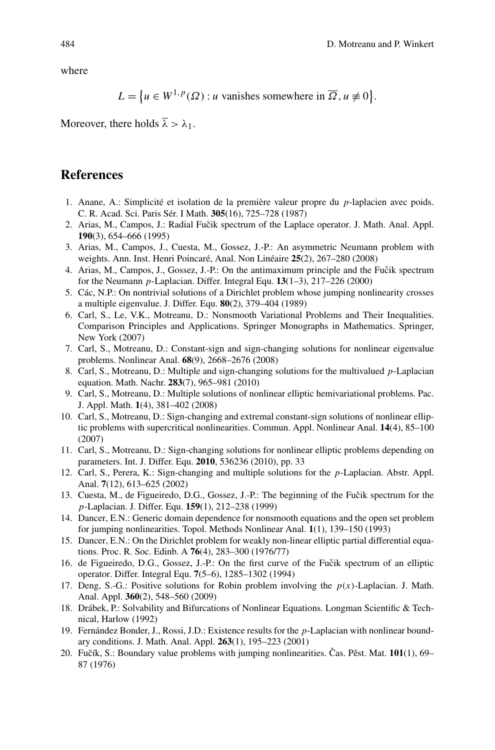where

$$
L = \{ u \in W^{1,p}(\Omega) : u \text{ vanishes somewhere in } \overline{\Omega}, u \neq 0 \}.
$$

<span id="page-13-17"></span><span id="page-13-8"></span><span id="page-13-2"></span>Moreover, there holds  $\overline{\lambda} > \lambda_1$ .

## <span id="page-13-16"></span><span id="page-13-3"></span>**References**

- <span id="page-13-7"></span>1. Anane, A.: Simplicité et isolation de la première valeur propre du *p*-laplacien avec poids. C. R. Acad. Sci. Paris Sér. I Math. **305**(16), 725–728 (1987)
- 2. Arias, M., Campos, J.: Radial Fučik spectrum of the Laplace operator. J. Math. Anal. Appl. **190**(3), 654–666 (1995)
- <span id="page-13-11"></span>3. Arias, M., Campos, J., Cuesta, M., Gossez, J.-P.: An asymmetric Neumann problem with weights. Ann. Inst. Henri Poincaré, Anal. Non Linéaire **25**(2), 267–280 (2008)
- <span id="page-13-13"></span>4. Arias, M., Campos, J., Gossez, J.-P.: On the antimaximum principle and the Fučik spectrum for the Neumann *p*-Laplacian. Differ. Integral Equ. **13**(1–3), 217–226 (2000)
- <span id="page-13-14"></span>5. Các, N.P.: On nontrivial solutions of a Dirichlet problem whose jumping nonlinearity crosses a multiple eigenvalue. J. Differ. Equ. **80**(2), 379–404 (1989)
- <span id="page-13-12"></span>6. Carl, S., Le, V.K., Motreanu, D.: Nonsmooth Variational Problems and Their Inequalities. Comparison Principles and Applications. Springer Monographs in Mathematics. Springer, New York (2007)
- <span id="page-13-15"></span>7. Carl, S., Motreanu, D.: Constant-sign and sign-changing solutions for nonlinear eigenvalue problems. Nonlinear Anal. **68**(9), 2668–2676 (2008)
- <span id="page-13-10"></span>8. Carl, S., Motreanu, D.: Multiple and sign-changing solutions for the multivalued *p*-Laplacian equation. Math. Nachr. **283**(7), 965–981 (2010)
- 9. Carl, S., Motreanu, D.: Multiple solutions of nonlinear elliptic hemivariational problems. Pac. J. Appl. Math. **1**(4), 381–402 (2008)
- <span id="page-13-9"></span><span id="page-13-4"></span>10. Carl, S., Motreanu, D.: Sign-changing and extremal constant-sign solutions of nonlinear elliptic problems with supercritical nonlinearities. Commun. Appl. Nonlinear Anal. **14**(4), 85–100 (2007)
- <span id="page-13-5"></span><span id="page-13-1"></span>11. Carl, S., Motreanu, D.: Sign-changing solutions for nonlinear elliptic problems depending on parameters. Int. J. Differ. Equ. **2010**, 536236 (2010), pp. 33
- <span id="page-13-19"></span>12. Carl, S., Perera, K.: Sign-changing and multiple solutions for the *p*-Laplacian. Abstr. Appl. Anal. **7**(12), 613–625 (2002)
- <span id="page-13-6"></span>13. Cuesta, M., de Figueiredo, D.G., Gossez, J.-P.: The beginning of the Fučik spectrum for the *p*-Laplacian. J. Differ. Equ. **159**(1), 212–238 (1999)
- <span id="page-13-18"></span>14. Dancer, E.N.: Generic domain dependence for nonsmooth equations and the open set problem for jumping nonlinearities. Topol. Methods Nonlinear Anal. **1**(1), 139–150 (1993)
- <span id="page-13-0"></span>15. Dancer, E.N.: On the Dirichlet problem for weakly non-linear elliptic partial differential equations. Proc. R. Soc. Edinb. A **76**(4), 283–300 (1976/77)
- 16. de Figueiredo, D.G., Gossez, J.-P.: On the first curve of the Fučik spectrum of an elliptic operator. Differ. Integral Equ. **7**(5–6), 1285–1302 (1994)
- 17. Deng, S.-G.: Positive solutions for Robin problem involving the  $p(x)$ -Laplacian. J. Math. Anal. Appl. **360**(2), 548–560 (2009)
- 18. Drábek, P.: Solvability and Bifurcations of Nonlinear Equations. Longman Scientific & Technical, Harlow (1992)
- 19. Fernández Bonder, J., Rossi, J.D.: Existence results for the *p*-Laplacian with nonlinear boundary conditions. J. Math. Anal. Appl. **263**(1), 195–223 (2001)
- 20. Fučík, S.: Boundary value problems with jumping nonlinearities. Čas. Pěst. Mat. 101(1), 69– 87 (1976)